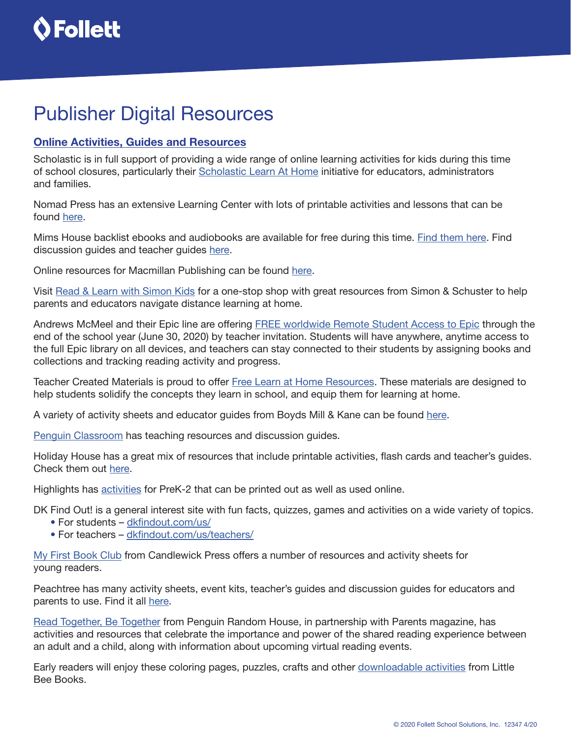

# Publisher Digital Resources

### Online Activities, Guides and Resources

Scholastic is in full support of providing a wide range of online learning activities for kids during this time of school closures, particularly their [Scholastic Learn At Home](https://classroommagazines.scholastic.com/support/learnathome.html) initiative for educators, administrators and families.

Nomad Press has an extensive Learning Center with lots of printable activities and lessons that can be found [here.](http://nomadpress.net/the-learning-center)

Mims House backlist ebooks and audiobooks are available for free during this time. [Find them here.](https://mimshousebooks.com/collections/ebooks) Find discussion guides and teacher guides [here](https://mimshousebooks.com/pages/discussion-guides).

Online resources for Macmillan Publishing can be found [here.](https://static.macmillan.com/static/macmillan/2020-online-resources/#filter%3D%2A)

Visit [Read & Learn with Simon Kids](https://www.simonandschusterpublishing.com/readandlearn/) for a one-stop shop with great resources from Simon & Schuster to help parents and educators navigate distance learning at home.

Andrews McMeel and their Epic line are offering [FREE worldwide Remote Student Access to Epic](https://www.getepic.com/learn/freeremotestudentaccess/) through the end of the school year (June 30, 2020) by teacher invitation. Students will have anywhere, anytime access to the full Epic library on all devices, and teachers can stay connected to their students by assigning books and collections and tracking reading activity and progress.

Teacher Created Materials is proud to offer [Free Learn at Home Resources](https://www.teachercreatedmaterials.com/teachers/free-home-learning/). These materials are designed to help students solidify the concepts they learn in school, and equip them for learning at home.

A variety of activity sheets and educator guides from Boyds Mill & Kane can be found [here](https://boydsmillsandkane.com/activities/).

[Penguin Classroom](https://penguinclassroom.com/) has teaching resources and discussion guides.

Holiday House has a great mix of resources that include printable activities, flash cards and teacher's guides. Check them out [here.](https://holidayhouse.com/downloadable-materials/)

Highlights has [activities](https://www.highlightspress.com/hp/downloadable-activities) for PreK-2 that can be printed out as well as used online.

DK Find Out! is a general interest site with fun facts, quizzes, games and activities on a wide variety of topics.

- For students – [dkfindout.com/us/](https://www.dkfindout.com/us/)
- For teachers [dkfindout.com/us/teachers/](https://www.dkfindout.com/us/teachers/)

[My First Book Club](https://myfirstbookclub.com/resources/) from Candlewick Press offers a number of resources and activity sheets for young readers.

Peachtree has many activity sheets, event kits, teacher's guides and discussion guides for educators and parents to use. Find it all [here](https://peachtree-online.com/resources/).

[Read Together, Be Together](https://www.readtogetherbetogether.com/) from Penguin Random House, in partnership with Parents magazine, has activities and resources that celebrate the importance and power of the shared reading experience between an adult and a child, along with information about upcoming virtual reading events.

Early readers will enjoy these coloring pages, puzzles, crafts and other **downloadable activities from Little** Bee Books.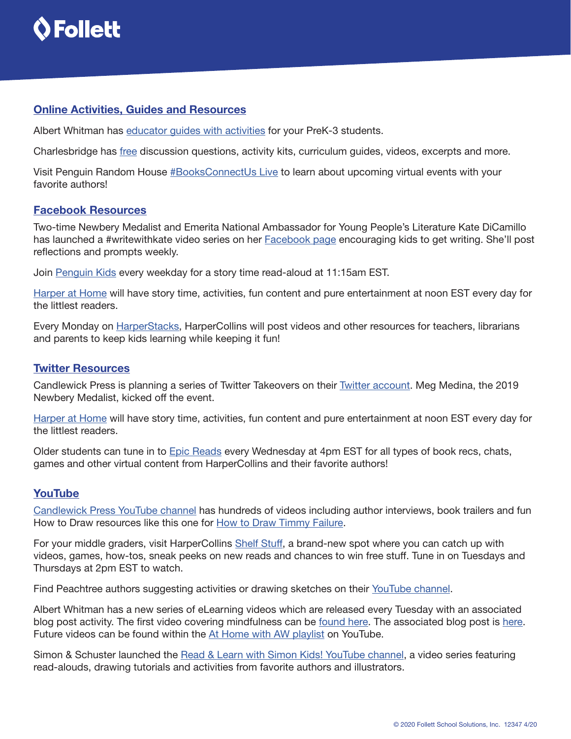

#### Online Activities, Guides and Resources

Albert Whitman has [educator guides with activities](https://www.albertwhitman.com/schools-and-libraries/educator-guides/) for your PreK-3 students.

Charlesbridge has [free](https://www.charlesbridge.com/pages/activities-and-downloadables) discussion questions, activity kits, curriculum guides, videos, excerpts and more.

Visit Penguin Random House [#BooksConnectUs Live](https://www.penguinrandomhouse.com/articles/books-connect-us-live-3-23-3-29/) to learn about upcoming virtual events with your favorite authors!

#### Facebook Resources

Two-time Newbery Medalist and Emerita National Ambassador for Young People's Literature Kate DiCamillo has launched a #writewithkate video series on her [Facebook page](https://www.facebook.com/139485862734035/posts/3347317688617487/?d=n) encouraging kids to get writing. She'll post reflections and prompts weekly.

Join [Penguin Kids](https://www.facebook.com/penguinkidsbooks/) every weekday for a story time read-aloud at 11:15am EST.

[Harper at Home](https://www.facebook.com/harpercollinschildrens) will have story time, activities, fun content and pure entertainment at noon EST every day for the littlest readers.

Every Monday on [HarperStacks](https://www.facebook.com/HarperStacks/posts/3056028907764755), HarperCollins will post videos and other resources for teachers, librarians and parents to keep kids learning while keeping it fun!

#### Twitter Resources

Candlewick Press is planning a series of Twitter Takeovers on their [Twitter account.](https://twitter.com/candlewick) Meg Medina, the 2019 Newbery Medalist, kicked off the event.

[Harper at Home](https://www.harpercollins.com/childrens/harper-at-home/) will have story time, activities, fun content and pure entertainment at noon EST every day for the littlest readers.

Older students can tune in to **Epic Reads** every Wednesday at 4pm EST for all types of book recs, chats, games and other virtual content from HarperCollins and their favorite authors!

#### YouTube

[Candlewick Press YouTube channel](https://www.youtube.com/channel/UCOp4BcxCLcjf2K4-zOR9c0A) has hundreds of videos including author interviews, book trailers and fun How to Draw resources like this one for [How to Draw Timmy Failure](https://www.youtube.com/watch?v=mvuzOK57YH4).

For your middle graders, visit HarperCollins [Shelf Stuff](https://www.youtube.com/theshelfstuff), a brand-new spot where you can catch up with videos, games, how-tos, sneak peeks on new reads and chances to win free stuff. Tune in on Tuesdays and Thursdays at 2pm EST to watch.

Find Peachtree authors suggesting activities or drawing sketches on their [YouTube channel.](https://www.youtube.com/channel/UCU469IHVEDMTCFI9X6i6oTQ)

Albert Whitman has a new series of eLearning videos which are released every Tuesday with an associated blog post activity. The first video covering mindfulness can be [found here.](https://youtu.be/O6b5XFYgXJ0) The associated blog post is [here.](https://www.albertwhitman.com/blog/mindful-me-at-home-activity/) Future videos can be found within the [At Home with AW playlist](https://www.youtube.com/playlist?list=PLARAZYnsAQbJcYVPXnmCVruEnTOGgJ7O9) on YouTube.

Simon & Schuster launched the [Read & Learn with Simon Kids! YouTube channel](https://www.youtube.com/playlist?list=PLjXy91OfJg0go22HZBIwx82sYG173WRPY), a video series featuring read-alouds, drawing tutorials and activities from favorite authors and illustrators.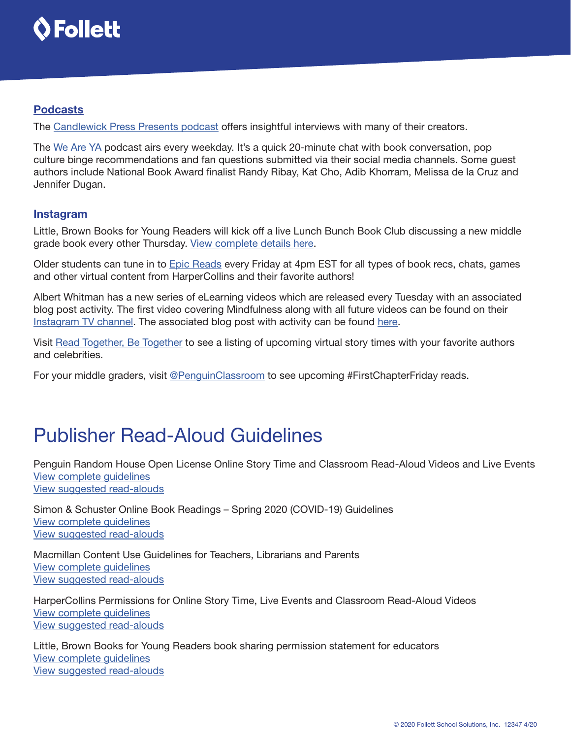

### Podcasts

The [Candlewick Press Presents podcast](http://www.candlewickpodcast.com/) offers insightful interviews with many of their creators.

The [We Are YA](http://www.penguinteen.com/welcome-to-the-we-are-ya-podcast/) podcast airs every weekday. It's a quick 20-minute chat with book conversation, pop culture binge recommendations and fan questions submitted via their social media channels. Some guest authors include National Book Award finalist Randy Ribay, Kat Cho, Adib Khorram, Melissa de la Cruz and Jennifer Dugan.

#### **Instagram**

Little, Brown Books for Young Readers will kick off a live Lunch Bunch Book Club discussing a new middle grade book every other Thursday. [View complete details here](https://www.lbyr.com/little-brown-young-readers/lbyr-blog/introducing-the-lbyr-lunch-bunch-book-club/?fbclid=IwAR0vvUEcHCnH1zAMvk8rs7FsyFPV9qtifMxseDSLwZVdur1JGIvNE0F4DFU).

Older students can tune in to [Epic Reads](https://www.instagram.com/epicreads/) every Friday at 4pm EST for all types of book recs, chats, games and other virtual content from HarperCollins and their favorite authors!

Albert Whitman has a new series of eLearning videos which are released every Tuesday with an associated blog post activity. The first video covering Mindfulness along with all future videos can be found on their [Instagram TV channel.](https://www.instagram.com/albertwhitman/channel/) The associated blog post with activity can be found [here.](https://www.albertwhitman.com/blog/mindful-me-at-home-activity/)

Visit [Read Together, Be Together](https://www.readtogetherbetogether.com/) to see a listing of upcoming virtual story times with your favorite authors and celebrities.

For your middle graders, visit [@PenguinClassroom](https://www.instagram.com/penguinclassroom/) to see upcoming #FirstChapterFriday reads.

# Publisher Read-Aloud Guidelines

Penguin Random House Open License Online Story Time and Classroom Read-Aloud Videos and Live Events [View complete guidelines](https://www.penguinrandomhouse.com/penguin-random-house-temporary-open-license/) [View suggested read-alouds](http://www.titlewave.com/go/node/247364)

Simon & Schuster Online Book Readings – Spring 2020 (COVID-19) Guidelines [View complete guidelines](https://www.simonandschuster.com/p/online-read-aloud-guidelines) [View suggested read-alouds](http://www.titlewave.com/go/node/247365)

Macmillan Content Use Guidelines for Teachers, Librarians and Parents [View complete guidelines](https://us.macmillan.com/macmillan-content-use-guidelines/) [View suggested read-alouds](http://www.titlewave.com/go/node/247366)

HarperCollins Permissions for Online Story Time, Live Events and Classroom Read-Aloud Videos [View complete guidelines](https://www.harpercollins.com/childrens/harper-at-home/) [View suggested read-alouds](http://www.titlewave.com/go/node/247367)

Little, Brown Books for Young Readers book sharing permission statement for educators [View complete guidelines](https://www.lbyr.com/little-brown-young-readers/lbyr-blog/lbyr-book-sharing-permission-statement/) [View suggested read-alouds](http://www.titlewave.com/go/node/247371)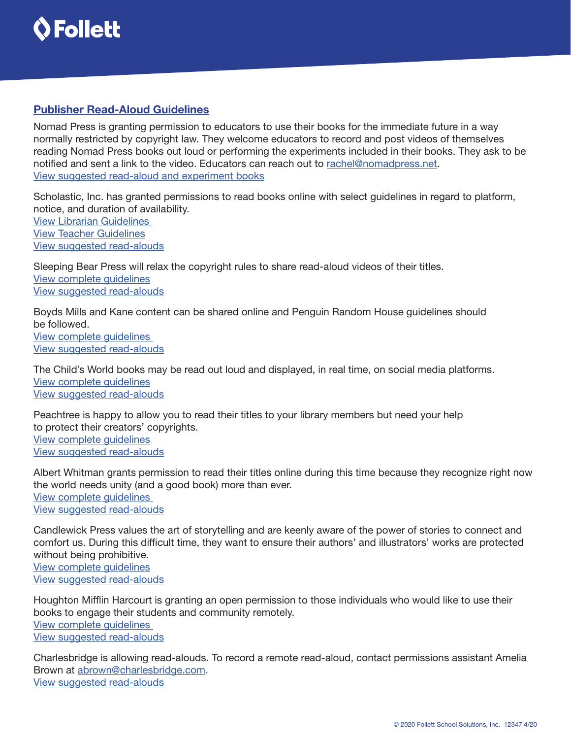

## Publisher Read-Aloud Guidelines

Nomad Press is granting permission to educators to use their books for the immediate future in a way normally restricted by copyright law. They welcome educators to record and post videos of themselves reading Nomad Press books out loud or performing the experiments included in their books. They ask to be notified and sent a link to the video. Educators can reach out to [rachel@nomadpress.net.](mailto:rachel%40nomadpress.net?subject=) [View suggested read-aloud and experiment books](http://www.titlewave.com/go/node/247427)

Scholastic, Inc. has granted permissions to read books online with select guidelines in regard to platform, notice, and duration of availability. [View Librarian Guidelines](https://www.dropbox.com/s/37sz4iwmh06p0u7/Scholastic Library permissions.pdf?dl=0)  [View Teacher Guidelines](https://www.dropbox.com/s/l9eq25vr0vuqpw3/Scholastic Teacher Permissions.pdf?dl=0) [View suggested read-alouds](http://www.titlewave.com/go/node/247368)

Sleeping Bear Press will relax the copyright rules to share read-aloud videos of their titles. [View complete guidelines](https://sleepingbearpress.com/recording_guidelines) [View suggested read-alouds](http://www.titlewave.com/go/node/247369)

Boyds Mills and Kane content can be shared online and Penguin Random House guidelines should be followed. [View complete guidelines](https://www.penguinrandomhouse.com/penguin-random-house-temporary-open-license/)  [View suggested read-alouds](http://www.titlewave.com/go/node/247425)

The Child's World books may be read out loud and displayed, in real time, on social media platforms. [View complete guidelines](https://www.dropbox.com/s/xszm5roapxnp8pi/Online Reading Policy_TheChild%27sWorld.pdf?dl=0) [View suggested read-alouds](http://www.titlewave.com/go/node/247370)

Peachtree is happy to allow you to read their titles to your library members but need your help to protect their creators' copyrights. [View complete guidelines](https://peachtree-online.com/contact/) [View suggested read-alouds](http://www.titlewave.com/go/node/247372)

Albert Whitman grants permission to read their titles online during this time because they recognize right now the world needs unity (and a good book) more than ever. [View complete guidelines](https://www.albertwhitman.com/rights-permissions/recorded-readings-during-covid-19/)  [View suggested read-alouds](http://www.titlewave.com/go/node/247373)

Candlewick Press values the art of storytelling and are keenly aware of the power of stories to connect and comfort us. During this difficult time, they want to ensure their authors' and illustrators' works are protected without being prohibitive. [View complete guidelines](https://www.dropbox.com/s/lgk6495f3yffcyf/Candlewick Read Aloud Permissions.jpg?dl=0) [View suggested read-alouds](http://www.titlewave.com/go/node/247374)

Houghton Mifflin Harcourt is granting an open permission to those individuals who would like to use their books to engage their students and community remotely. [View complete guidelines](https://www.hmhbooks.com/readaloud)  [View suggested read-alouds](http://www.titlewave.com/go/node/247423)

Charlesbridge is allowing read-alouds. To record a remote read-aloud, contact permissions assistant Amelia Brown at [abrown@charlesbridge.com](mailto:abrown%40charlesbridge.com?subject=). [View suggested read-alouds](http://www.titlewave.com/go/node/247424)